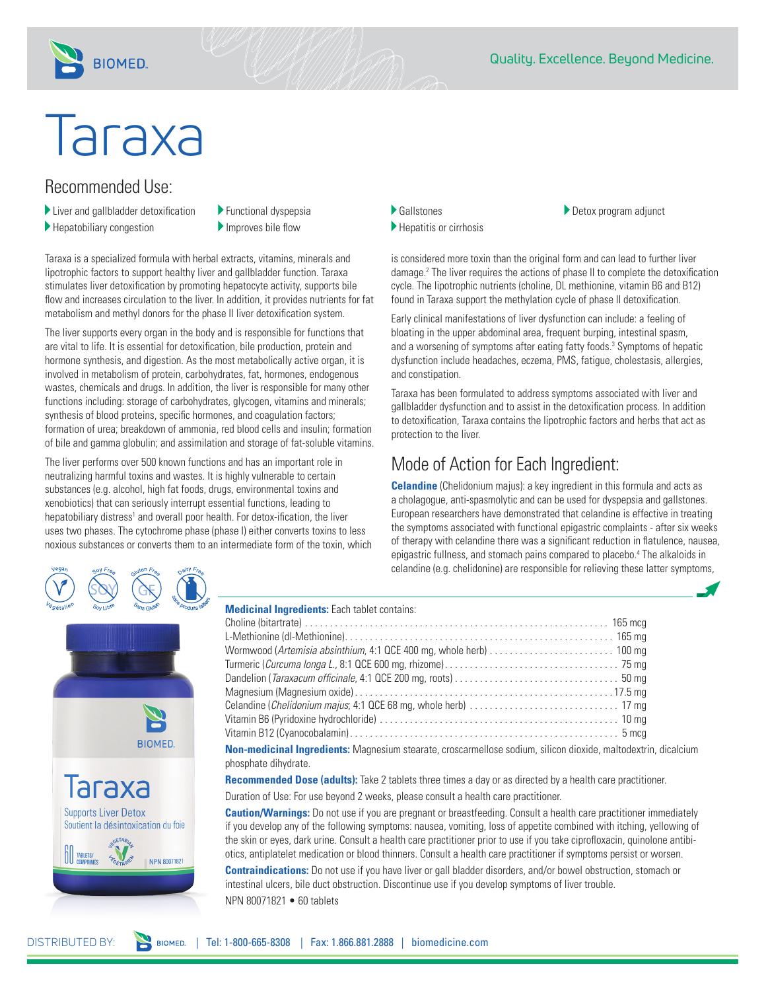

# Taraxa

**BIOMED.** 

## Recommended Use:

- Liver and gallbladder detoxification
- Hepatobiliary congestion
- Functional dyspepsia
- Improves bile flow

Taraxa is a specialized formula with herbal extracts, vitamins, minerals and lipotrophic factors to support healthy liver and gallbladder function. Taraxa stimulates liver detoxification by promoting hepatocyte activity, supports bile flow and increases circulation to the liver. In addition, it provides nutrients for fat metabolism and methyl donors for the phase II liver detoxification system.

The liver supports every organ in the body and is responsible for functions that are vital to life. It is essential for detoxification, bile production, protein and hormone synthesis, and digestion. As the most metabolically active organ, it is involved in metabolism of protein, carbohydrates, fat, hormones, endogenous wastes, chemicals and drugs. In addition, the liver is responsible for many other functions including: storage of carbohydrates, glycogen, vitamins and minerals; synthesis of blood proteins, specific hormones, and coagulation factors; formation of urea; breakdown of ammonia, red blood cells and insulin; formation of bile and gamma globulin; and assimilation and storage of fat-soluble vitamins.

The liver performs over 500 known functions and has an important role in neutralizing harmful toxins and wastes. It is highly vulnerable to certain substances (e.g. alcohol, high fat foods, drugs, environmental toxins and xenobiotics) that can seriously interrupt essential functions, leading to hepatobiliary distress<sup>1</sup> and overall poor health. For detox-ification, the liver uses two phases. The cytochrome phase (phase I) either converts toxins to less noxious substances or converts them to an intermediate form of the toxin, which

- Gallstones
- Hepatitis or cirrhosis
- Detox program adjunct

is considered more toxin than the original form and can lead to further liver damage.2 The liver requires the actions of phase II to complete the detoxification cycle. The lipotrophic nutrients (choline, DL methionine, vitamin B6 and B12) found in Taraxa support the methylation cycle of phase II detoxification.

Early clinical manifestations of liver dysfunction can include: a feeling of bloating in the upper abdominal area, frequent burping, intestinal spasm, and a worsening of symptoms after eating fatty foods.<sup>3</sup> Symptoms of hepatic dysfunction include headaches, eczema, PMS, fatigue, cholestasis, allergies, and constipation.

Taraxa has been formulated to address symptoms associated with liver and gallbladder dysfunction and to assist in the detoxification process. In addition to detoxification, Taraxa contains the lipotrophic factors and herbs that act as protection to the liver.

# Mode of Action for Each Ingredient:

**Celandine** (Chelidonium majus): a key ingredient in this formula and acts as a cholagogue, anti-spasmolytic and can be used for dyspepsia and gallstones. European researchers have demonstrated that celandine is effective in treating the symptoms associated with functional epigastric complaints - after six weeks of therapy with celandine there was a significant reduction in flatulence, nausea, epigastric fullness, and stomach pains compared to placebo.<sup>4</sup> The alkaloids in celandine (e.g. chelidonine) are responsible for relieving these latter symptoms,



### **Medicinal Ingredients:** Each tablet contains:

**Non-medicinal Ingredients:** Magnesium stearate, croscarmellose sodium, silicon dioxide, maltodextrin, dicalcium phosphate dihydrate.

**Recommended Dose (adults):** Take 2 tablets three times a day or as directed by a health care practitioner.

Duration of Use: For use beyond 2 weeks, please consult a health care practitioner.

**Caution/Warnings:** Do not use if you are pregnant or breastfeeding. Consult a health care practitioner immediately if you develop any of the following symptoms: nausea, vomiting, loss of appetite combined with itching, yellowing of the skin or eyes, dark urine. Consult a health care practitioner prior to use if you take ciprofloxacin, quinolone antibiotics, antiplatelet medication or blood thinners. Consult a health care practitioner if symptoms persist or worsen.

**Contraindications:** Do not use if you have liver or gall bladder disorders, and/or bowel obstruction, stomach or intestinal ulcers, bile duct obstruction. Discontinue use if you develop symptoms of liver trouble. NPN 80071821 • 60 tablets